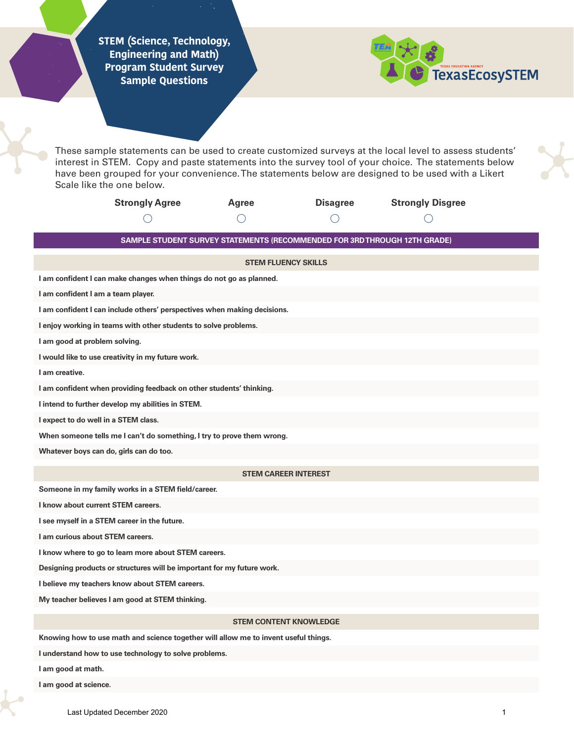**STEM (Science, Technology, Engineering and Math) Program Student Survey Sample Questions**



These sample statements can be used to create customized surveys at the local level to assess students' interest in STEM. Copy and paste statements into the survey tool of your choice. The statements below have been grouped for your convenience. The statements below are designed to be used with a Likert Scale like the one below.

| <b>Strongly Agree</b> | Agree | <b>Disagree</b> | <b>Strongly Disgree</b> |
|-----------------------|-------|-----------------|-------------------------|
|                       |       |                 |                         |

**SAMPLE STUDENT SURVEY STATEMENTS (RECOMMENDED FOR 3RD THROUGH 12TH GRADE)**

| <b>STEM FLUENCY SKILLS</b>                                               |  |  |  |
|--------------------------------------------------------------------------|--|--|--|
| I am confident I can make changes when things do not go as planned.      |  |  |  |
| I am confident I am a team player.                                       |  |  |  |
| I am confident I can include others' perspectives when making decisions. |  |  |  |
| I enjoy working in teams with other students to solve problems.          |  |  |  |
| I am good at problem solving.                                            |  |  |  |
| I would like to use creativity in my future work.                        |  |  |  |
| I am creative.                                                           |  |  |  |
| I am confident when providing feedback on other students' thinking.      |  |  |  |
| I intend to further develop my abilities in STEM.                        |  |  |  |
| I expect to do well in a STEM class.                                     |  |  |  |
| When someone tells me I can't do something, I try to prove them wrong.   |  |  |  |
| Whatever boys can do, girls can do too.                                  |  |  |  |
| <b>STEM CAREER INTEREST</b>                                              |  |  |  |
| Someone in my family works in a STEM field/career.                       |  |  |  |
| I know about current STEM careers.                                       |  |  |  |
| I see myself in a STEM career in the future.                             |  |  |  |
| I am curious about STEM careers.                                         |  |  |  |
| I know where to go to learn more about STEM careers.                     |  |  |  |
| Designing products or structures will be important for my future work.   |  |  |  |
| I believe my teachers know about STEM careers.                           |  |  |  |

**My teacher believes I am good at STEM thinking.**

## **STEM CONTENT KNOWLEDGE**

**Knowing how to use math and science together will allow me to invent useful things.**

**I understand how to use technology to solve problems.** 

**I am good at math.**

**I am good at science.**